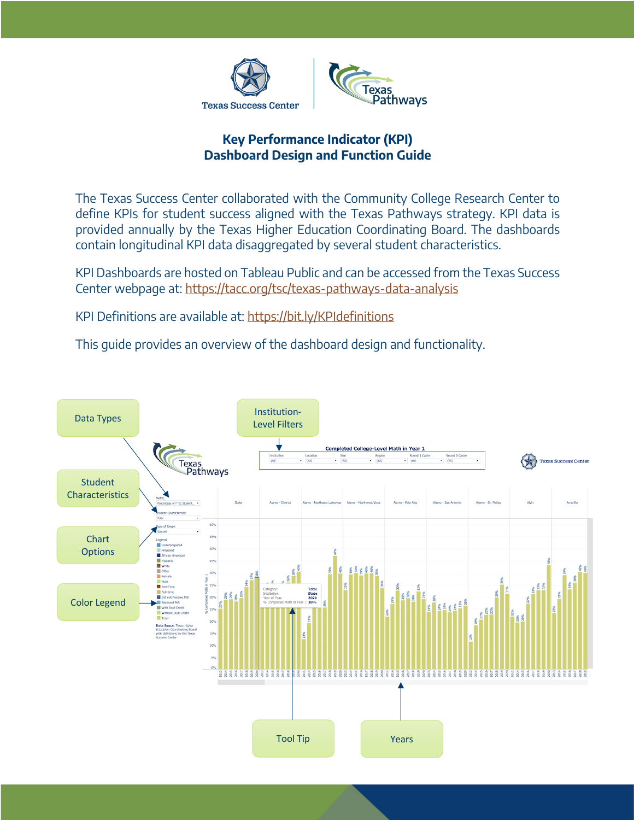



## **Key Performance Indicator (KPI) Dashboard Design and Function Guide**

The Texas Success Center collaborated with the Community College Research Center to define KPIs for student success aligned with the Texas Pathways strategy. KPI data is provided annually by the Texas Higher Education Coordinating Board. The dashboards contain longitudinal KPI data disaggregated by several student characteristics.

KPI Dashboards are hosted on Tableau Public and can be accessed from the Texas Success Center webpage at: https://tacc.org/tsc/texas-pathways-data-analysis

KPI Definitions are available at: https://bit.ly/KPIdefinitions

This guide provides an overview of the dashboard design and functionality.